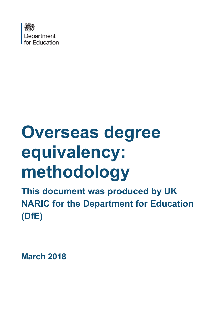

# **Overseas degree equivalency: methodology**

**This document was produced by UK NARIC for the Department for Education (DfE)**

**March 2018**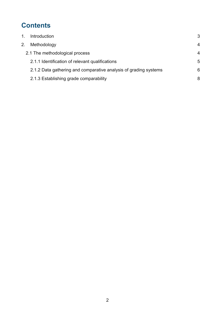# **Contents**

| $\mathbf{1}$ . | <b>Introduction</b>                                              | 3 |
|----------------|------------------------------------------------------------------|---|
| 2.             | Methodology                                                      | 4 |
|                | 2.1 The methodological process                                   | 4 |
|                | 2.1.1 Identification of relevant qualifications                  | 5 |
|                | 2.1.2 Data gathering and comparative analysis of grading systems | 6 |
|                | 2.1.3 Establishing grade comparability                           | 8 |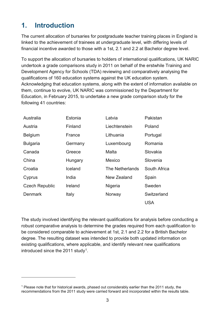# <span id="page-2-0"></span>**1. Introduction**

 $\overline{a}$ 

The current allocation of bursaries for postgraduate teacher training places in England is linked to the achievement of trainees at undergraduate level, with differing levels of financial incentive awarded to those with a 1st, 2.1 and 2.2 at Bachelor degree level.

To support the allocation of bursaries to holders of international qualifications, UK NARIC undertook a grade comparisons study in 2011 on behalf of the erstwhile Training and Development Agency for Schools (TDA) reviewing and comparatively analysing the qualifications of 160 education systems against the UK education system. Acknowledging that education systems, along with the extent of information available on them, continue to evolve, UK NARIC was commissioned by the Department for Education, in February 2015, to undertake a new grade comparison study for the following 41 countries:

| Australia             | Estonia | Latvia          | Pakistan     |
|-----------------------|---------|-----------------|--------------|
| Austria               | Finland | Liechtenstein   | Poland       |
| <b>Belgium</b>        | France  | Lithuania       | Portugal     |
| <b>Bulgaria</b>       | Germany | Luxembourg      | Romania      |
| Canada                | Greece  | Malta           | Slovakia     |
| China                 | Hungary | <b>Mexico</b>   | Slovenia     |
| Croatia               | Iceland | The Netherlands | South Africa |
| Cyprus                | India   | New Zealand     | Spain        |
| <b>Czech Republic</b> | Ireland | Nigeria         | Sweden       |
| Denmark               | Italy   | Norway          | Switzerland  |
|                       |         |                 | <b>USA</b>   |

The study involved identifying the relevant qualifications for analysis before conducting a robust comparative analysis to determine the grades required from each qualification to be considered comparable to achievement at 1st, 2.1 and 2.2 for a British Bachelor degree. The resulting dataset was intended to provide both updated information on existing qualifications, where applicable, and identify relevant new qualifications introduced since the 20[1](#page-2-1)1 study<sup>1</sup>.

<span id="page-2-1"></span><sup>&</sup>lt;sup>1</sup> Please note that for historical awards, phased out considerably earlier than the 2011 study, the recommendations from the 2011 study were carried forward and incorporated within the results table.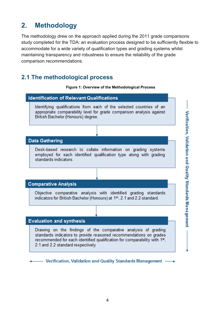# <span id="page-3-0"></span>**2. Methodology**

The methodology drew on the approach applied during the 2011 grade comparisons study completed for the TDA: an evaluation process designed to be sufficiently flexible to accommodate for a wide variety of qualification types and grading systems whilst maintaining transparency and robustness to ensure the reliability of the grade comparison recommendations.

## <span id="page-3-1"></span>**2.1 The methodological process**



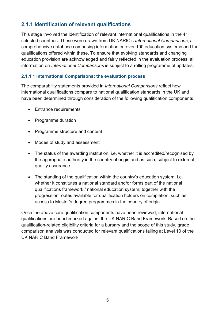### <span id="page-4-0"></span>**2.1.1 Identification of relevant qualifications**

This stage involved the identification of relevant international qualifications in the 41 selected countries. These were drawn from UK NARIC's *International Comparisons*, a comprehensive database comprising information on over 190 education systems and the qualifications offered within these. To ensure that evolving standards and changing education provision are acknowledged and fairly reflected in the evaluation process, all information on *International Comparisons* is subject to a rolling programme of updates.

#### **2.1.1.1 International Comparisons: the evaluation process**

The comparability statements provided in *International Comparisons* reflect how international qualifications compare to national qualification standards in the UK and have been determined through consideration of the following qualification components:

- Entrance requirements
- Programme duration
- Programme structure and content
- Modes of study and assessment
- The status of the awarding institution, i.e. whether it is accredited/recognised by the appropriate authority in the country of origin and as such, subject to external quality assurance
- The standing of the qualification within the country's education system, i.e. whether it constitutes a national standard and/or forms part of the national qualifications framework / national education system; together with the progression routes available for qualification holders on completion, such as access to Master's degree programmes in the country of origin.

Once the above core qualification components have been reviewed, international qualifications are benchmarked against the UK NARIC Band Framework. Based on the qualification-related eligibility criteria for a bursary and the scope of this study, grade comparison analysis was conducted for relevant qualifications falling at Level 10 of the UK NARIC Band Framework: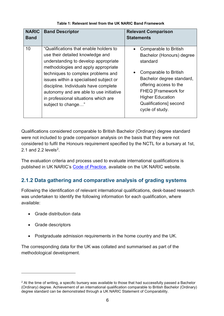| <b>NARIC</b> | <b>Band Descriptor</b>                                                                                                                                                                                                                                                                                                                                                                      | <b>Relevant Comparison</b>                                                                                                                                                                                                                           |
|--------------|---------------------------------------------------------------------------------------------------------------------------------------------------------------------------------------------------------------------------------------------------------------------------------------------------------------------------------------------------------------------------------------------|------------------------------------------------------------------------------------------------------------------------------------------------------------------------------------------------------------------------------------------------------|
| <b>Band</b>  |                                                                                                                                                                                                                                                                                                                                                                                             | <b>Statements</b>                                                                                                                                                                                                                                    |
| 10           | "Qualifications that enable holders to<br>use their detailed knowledge and<br>understanding to develop appropriate<br>methodologies and apply appropriate<br>techniques to complex problems and<br>issues within a specialised subject or<br>discipline. Individuals have complete<br>autonomy and are able to use initiative<br>in professional situations which are<br>subject to change" | Comparable to British<br>Bachelor (Honours) degree<br>standard<br>Comparable to British<br>Bachelor degree standard,<br>offering access to the<br><b>FHEQ [Framework for</b><br><b>Higher Education</b><br>Qualifications] second<br>cycle of study. |

Qualifications considered comparable to British Bachelor (Ordinary) degree standard were not included to grade comparison analysis on the basis that they were not considered to fulfil the Honours requirement specified by the NCTL for a bursary at 1st, [2.](#page-5-1)1 and 2.2 levels<sup>2</sup>

The evaluation criteria and process used to evaluate international qualifications is published in UK NARIC's [Code of Practice,](https://www.naric.org.uk/naric/Code%20of%20Practice/default.aspx) available on the UK NARIC website.

## <span id="page-5-0"></span>**2.1.2 Data gathering and comparative analysis of grading systems**

Following the identification of relevant international qualifications, desk-based research was undertaken to identify the following information for each qualification, where available:

- Grade distribution data
- Grade descriptors

 $\overline{a}$ 

• Postgraduate admission requirements in the home country and the UK.

The corresponding data for the UK was collated and summarised as part of the methodological development.

<span id="page-5-1"></span><sup>&</sup>lt;sup>2</sup> At the time of writing, a specific bursary was available to those that had successfully passed a Bachelor (Ordinary) degree. Achievement of an international qualification comparable to British Bachelor (Ordinary) degree standard can be demonstrated through a UK NARIC Statement of Comparability.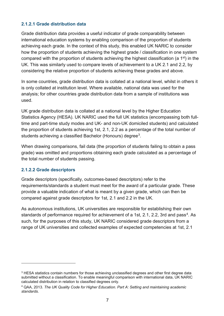#### **2.1.2.1 Grade distribution data**

Grade distribution data provides a useful indicator of grade comparability between international education systems by enabling comparison of the proportion of students achieving each grade. In the context of this study, this enabled UK NARIC to consider how the proportion of students achieving the highest grade / classification in one system compared with the proportion of students achieving the highest classification (a 1st) in the UK. This was similarly used to compare levels of achievement to a UK 2.1 and 2.2, by considering the relative proportion of students achieving these grades and above.

In some countries, grade distribution data is collated at a national level, whilst in others it is only collated at institution level. Where available, national data was used for the analysis; for other countries grade distribution data from a sample of institutions was used.

UK grade distribution data is collated at a national level by the Higher Education Statistics Agency (HESA). UK NARIC used the full UK statistics (encompassing both fulltime and part-time study modes and UK- and non-UK domiciled students) and calculated the proportion of students achieving 1st, 2.1, 2.2 as a percentage of the total number of students achieving a classified Bachelor (Honours) degree<sup>3</sup>.

When drawing comparisons, fail data (the proportion of students failing to obtain a pass grade) was omitted and proportions obtaining each grade calculated as a percentage of the total number of students passing.

#### **2.1.2.2 Grade descriptors**

 $\overline{a}$ 

Grade descriptors (specifically, outcomes-based descriptors) refer to the requirements/standards a student must meet for the award of a particular grade. These provide a valuable indication of what is meant by a given grade, which can then be compared against grade descriptors for 1st, 2.1 and 2.2 in the UK.

As autonomous institutions, UK universities are responsible for establishing their own standards of performance required for achievement of a 1st, 2.1, 2.2, 3rd and pass<sup>4</sup>. As such, for the purposes of this study, UK NARIC considered grade descriptors from a range of UK universities and collected examples of expected competencies at 1st, 2.1

<span id="page-6-0"></span><sup>&</sup>lt;sup>3</sup> HESA statistics contain numbers for those achieving unclassified degrees and other first degree data submitted without a classification. To enable meaningful comparison with international data, UK NARIC calculated distribution in relation to classified degrees only.

<span id="page-6-1"></span><sup>4</sup> QAA, 2013. *The UK Quality Code for Higher Education. Part A: Setting and maintaining academic standards*.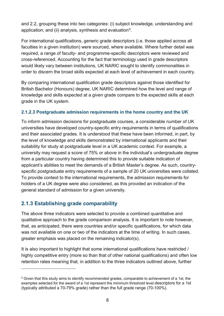and 2.2, grouping these into two categories: (i) subject knowledge, understanding and application; and (ii) analysis, synthesis and evaluation<sup>[5](#page-7-1)</sup>.

For international qualifications, generic grade descriptors (i.e. those applied across all faculties in a given institution) were sourced, where available. Where further detail was required, a range of faculty- and programme-specific descriptors were reviewed and cross-referenced. Accounting for the fact that terminology used in grade descriptors would likely vary between institutions, UK NARIC sought to identify commonalities in order to discern the broad skills expected at each level of achievement in each country.

By comparing international qualification grade descriptors against those identified for British Bachelor (Honours) degree, UK NARIC determined how the level and range of knowledge and skills expected at a given grade compare to the expected skills at each grade in the UK system.

#### **2.1.2.3 Postgraduate admission requirements in the home country and the UK**

To inform admission decisions for postgraduate courses, a considerable number of UK universities have developed country-specific entry requirements in terms of qualifications and their associated grades. It is understood that these have been informed, in part, by the level of knowledge and skills demonstrated by international applicants and their suitability for study at postgraduate level in a UK academic context. For example, a university may request a score of 75% or above in the individual's undergraduate degree from a particular country having determined this to provide suitable indication of applicant's abilities to meet the demands of a British Master's degree. As such, countryspecific postgraduate entry requirements of a sample of 20 UK universities were collated. To provide context to the international requirements, the admission requirements for holders of a UK degree were also considered, as this provided an indication of the general standard of admission for a given university.

#### <span id="page-7-0"></span>**2.1.3 Establishing grade comparability**

 $\overline{a}$ 

The above three indicators were selected to provide a combined quantitative and qualitative approach to the grade comparison analysis. It is important to note however, that, as anticipated, there were countries and/or specific qualifications, for which data was not available on one or two of the indicators at the time of writing. In such cases, greater emphasis was placed on the remaining indicator(s).

It is also important to highlight that some international qualifications have restricted / highly competitive entry (more so than that of other national qualifications) and often low retention rates meaning that, in addition to the three indicators outlined above, further

<span id="page-7-1"></span><sup>5</sup> Given that this study aims to identify recommended grades, comparable to achievement of a 1st, the examples selected for the award of a 1st represent the minimum threshold level descriptors for a 1st (typically attributed a 70-79% grade) rather than the full grade range (70-100%).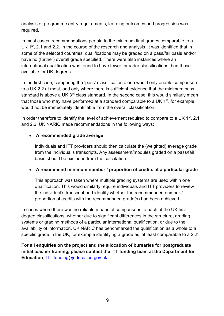analysis of programme entry requirements, learning outcomes and progression was required.

In most cases, recommendations pertain to the minimum final grades comparable to a UK 1<sup>st</sup>, 2.1 and 2.2. In the course of the research and analysis, it was identified that in some of the selected countries, qualifications may be graded on a pass/fail basis and/or have no (further) overall grade specified. There were also instances where an international qualification was found to have fewer, broader classifications than those available for UK degrees.

In the first case, comparing the 'pass' classification alone would only enable comparison to a UK 2.2 at most, and only where there is sufficient evidence that the minimum pass standard is above a UK 3<sup>rd</sup> class standard. In the second case, this would similarly mean that those who may have performed at a standard comparable to a UK  $1<sup>st</sup>$ , for example, would not be immediately identifiable from the overall classification.

In order therefore to identify the level of achievement required to compare to a UK 1<sup>st</sup>, 2.1 and 2.2, UK NARIC made recommendations in the following ways:

#### • **A recommended grade average**

Individuals and ITT providers should then calculate the (weighted) average grade from the individual's transcripts. Any assessment/modules graded on a pass/fail basis should be excluded from the calculation.

#### • **A recommend minimum number / proportion of credits at a particular grade**

This approach was taken where multiple grading systems are used within one qualification. This would similarly require individuals and ITT providers to review the individual's transcript and identify whether the recommended number / proportion of credits with the recommended grade(s) had been achieved.

In cases where there was no reliable means of comparisons to each of the UK first degree classifications; whether due to significant differences in the structure, grading systems or grading methods of a particular international qualification, or due to the availability of information, UK NARIC has benchmarked the qualification as a whole to a specific grade in the UK, for example identifying a grade as 'at least comparable to a 2.2'.

**For all enquiries on the project and the allocation of bursaries for postgraduate initial teacher training, please contact the ITT funding team at the Department for Education**, [ITT.funding@education.gov.uk.](mailto:ITT.funding@education.gov.uk)